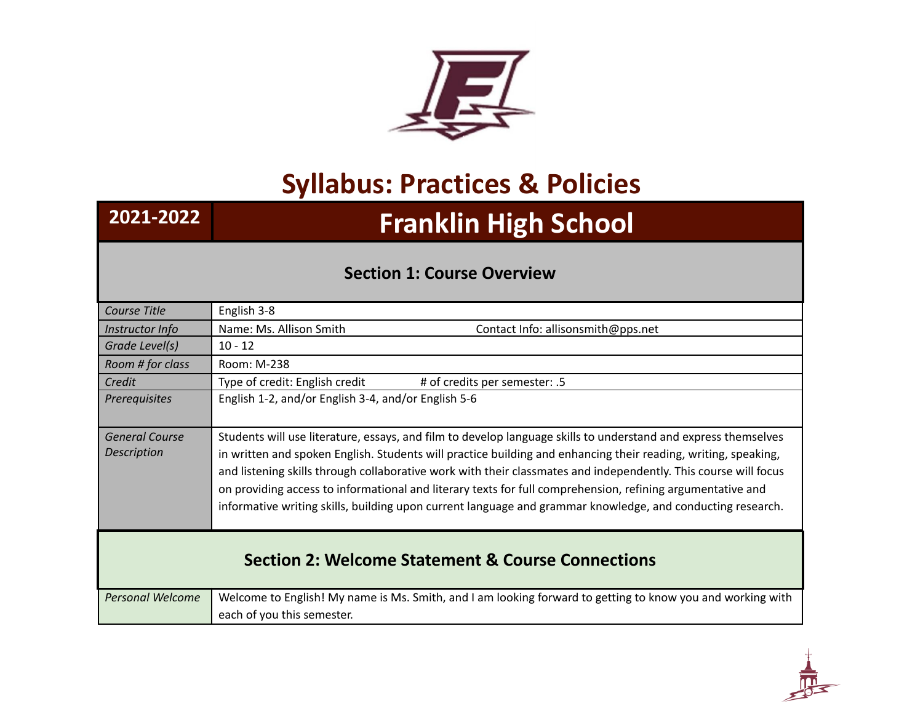

## **Syllabus: Practices & Policies**

## **2021-2022 Franklin High School**

## **Section 1: Course Overview**

| English 3-8                                                                                                                                                                                                                                                                                                                                                                                                                                                                                                                                                                     |  |  |
|---------------------------------------------------------------------------------------------------------------------------------------------------------------------------------------------------------------------------------------------------------------------------------------------------------------------------------------------------------------------------------------------------------------------------------------------------------------------------------------------------------------------------------------------------------------------------------|--|--|
| Name: Ms. Allison Smith<br>Contact Info: allisonsmith@pps.net                                                                                                                                                                                                                                                                                                                                                                                                                                                                                                                   |  |  |
| $10 - 12$                                                                                                                                                                                                                                                                                                                                                                                                                                                                                                                                                                       |  |  |
| Room: M-238                                                                                                                                                                                                                                                                                                                                                                                                                                                                                                                                                                     |  |  |
| Type of credit: English credit<br># of credits per semester: .5                                                                                                                                                                                                                                                                                                                                                                                                                                                                                                                 |  |  |
| English 1-2, and/or English 3-4, and/or English 5-6                                                                                                                                                                                                                                                                                                                                                                                                                                                                                                                             |  |  |
| Students will use literature, essays, and film to develop language skills to understand and express themselves<br>in written and spoken English. Students will practice building and enhancing their reading, writing, speaking,<br>and listening skills through collaborative work with their classmates and independently. This course will focus<br>on providing access to informational and literary texts for full comprehension, refining argumentative and<br>informative writing skills, building upon current language and grammar knowledge, and conducting research. |  |  |
| <b>Section 2: Welcome Statement &amp; Course Connections</b>                                                                                                                                                                                                                                                                                                                                                                                                                                                                                                                    |  |  |
| Welcome to English! My name is Ms. Smith, and I am looking forward to getting to know you and working with<br>each of you this semester.                                                                                                                                                                                                                                                                                                                                                                                                                                        |  |  |
|                                                                                                                                                                                                                                                                                                                                                                                                                                                                                                                                                                                 |  |  |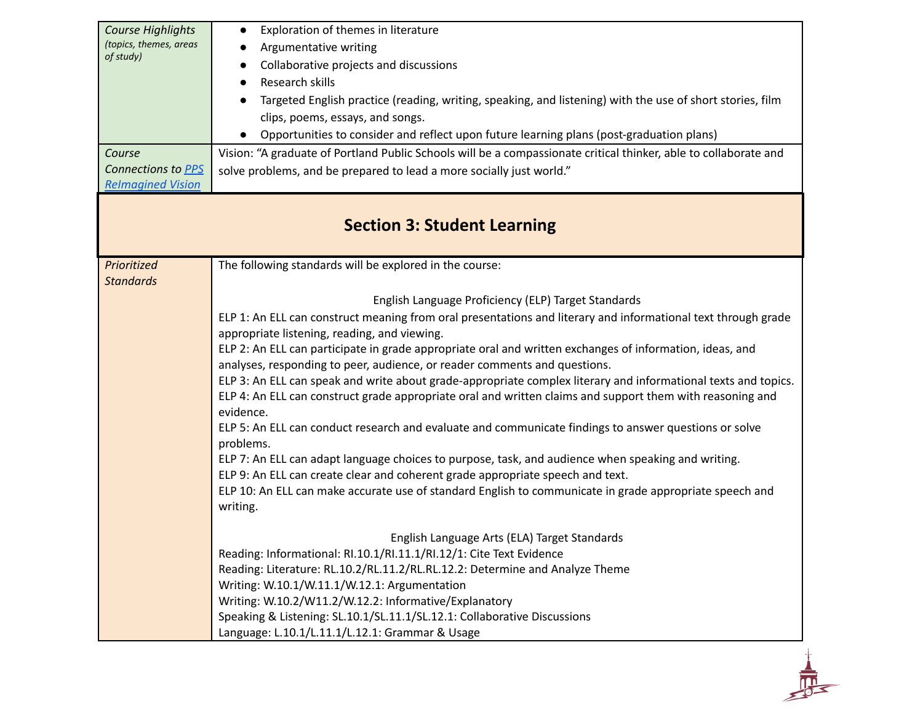| Course Highlights            | Exploration of themes in literature<br>$\bullet$                                                                            |
|------------------------------|-----------------------------------------------------------------------------------------------------------------------------|
| (topics, themes, areas       | Argumentative writing                                                                                                       |
| of study)                    | Collaborative projects and discussions<br>$\bullet$                                                                         |
|                              | Research skills                                                                                                             |
|                              | Targeted English practice (reading, writing, speaking, and listening) with the use of short stories, film                   |
|                              | clips, poems, essays, and songs.                                                                                            |
|                              | Opportunities to consider and reflect upon future learning plans (post-graduation plans)<br>$\bullet$                       |
|                              |                                                                                                                             |
| Course<br>Connections to PPS | Vision: "A graduate of Portland Public Schools will be a compassionate critical thinker, able to collaborate and            |
| <b>Relmagined Vision</b>     | solve problems, and be prepared to lead a more socially just world."                                                        |
|                              |                                                                                                                             |
|                              | <b>Section 3: Student Learning</b>                                                                                          |
| Prioritized                  | The following standards will be explored in the course:                                                                     |
| <b>Standards</b>             |                                                                                                                             |
|                              | English Language Proficiency (ELP) Target Standards                                                                         |
|                              | ELP 1: An ELL can construct meaning from oral presentations and literary and informational text through grade               |
|                              | appropriate listening, reading, and viewing.                                                                                |
|                              | ELP 2: An ELL can participate in grade appropriate oral and written exchanges of information, ideas, and                    |
|                              | analyses, responding to peer, audience, or reader comments and questions.                                                   |
|                              | ELP 3: An ELL can speak and write about grade-appropriate complex literary and informational texts and topics.              |
|                              | ELP 4: An ELL can construct grade appropriate oral and written claims and support them with reasoning and<br>evidence.      |
|                              | ELP 5: An ELL can conduct research and evaluate and communicate findings to answer questions or solve                       |
|                              | problems.                                                                                                                   |
|                              | ELP 7: An ELL can adapt language choices to purpose, task, and audience when speaking and writing.                          |
|                              | ELP 9: An ELL can create clear and coherent grade appropriate speech and text.                                              |
|                              | ELP 10: An ELL can make accurate use of standard English to communicate in grade appropriate speech and<br>writing.         |
|                              | English Language Arts (ELA) Target Standards                                                                                |
|                              |                                                                                                                             |
|                              | Reading: Informational: RI.10.1/RI.11.1/RI.12/1: Cite Text Evidence                                                         |
|                              | Reading: Literature: RL.10.2/RL.11.2/RL.RL.12.2: Determine and Analyze Theme                                                |
|                              | Writing: W.10.1/W.11.1/W.12.1: Argumentation                                                                                |
|                              | Writing: W.10.2/W11.2/W.12.2: Informative/Explanatory                                                                       |
|                              | Speaking & Listening: SL.10.1/SL.11.1/SL.12.1: Collaborative Discussions<br>Language: L.10.1/L.11.1/L.12.1: Grammar & Usage |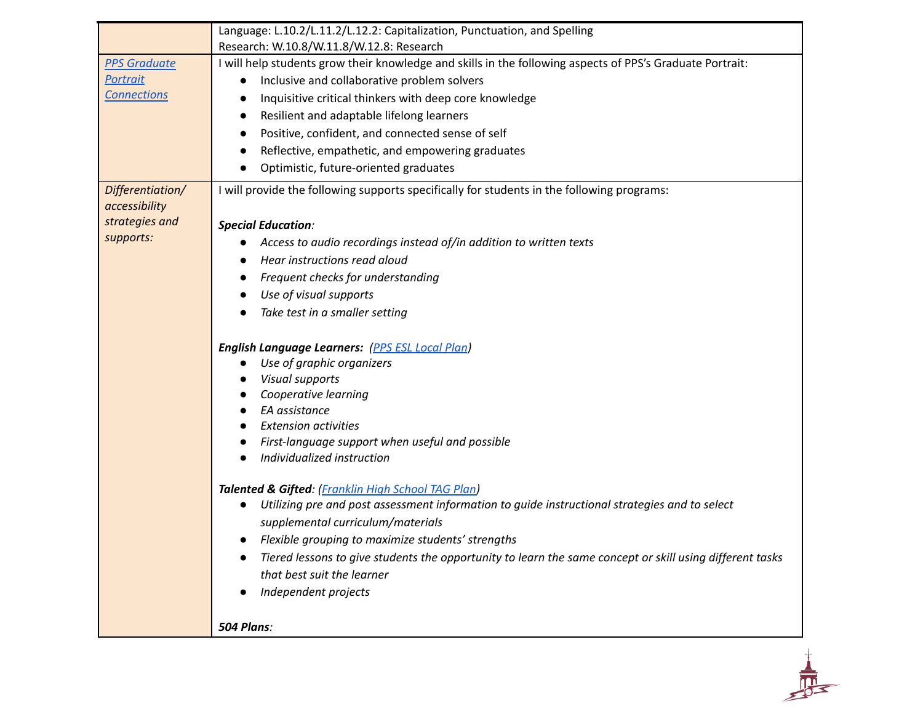|                     | Language: L.10.2/L.11.2/L.12.2: Capitalization, Punctuation, and Spelling                                  |
|---------------------|------------------------------------------------------------------------------------------------------------|
|                     | Research: W.10.8/W.11.8/W.12.8: Research                                                                   |
| <b>PPS Graduate</b> | I will help students grow their knowledge and skills in the following aspects of PPS's Graduate Portrait:  |
| Portrait            | Inclusive and collaborative problem solvers<br>$\bullet$                                                   |
| <b>Connections</b>  | Inquisitive critical thinkers with deep core knowledge                                                     |
|                     | Resilient and adaptable lifelong learners<br>$\bullet$                                                     |
|                     | Positive, confident, and connected sense of self                                                           |
|                     | Reflective, empathetic, and empowering graduates<br>$\bullet$                                              |
|                     | Optimistic, future-oriented graduates                                                                      |
| Differentiation/    | I will provide the following supports specifically for students in the following programs:                 |
| accessibility       |                                                                                                            |
| strategies and      | <b>Special Education:</b>                                                                                  |
| supports:           | Access to audio recordings instead of/in addition to written texts                                         |
|                     | Hear instructions read aloud                                                                               |
|                     | Frequent checks for understanding                                                                          |
|                     | Use of visual supports                                                                                     |
|                     | Take test in a smaller setting                                                                             |
|                     |                                                                                                            |
|                     | <b>English Language Learners:</b> (PPS ESL Local Plan)                                                     |
|                     | Use of graphic organizers                                                                                  |
|                     | Visual supports                                                                                            |
|                     | Cooperative learning                                                                                       |
|                     | EA assistance<br><b>Extension activities</b>                                                               |
|                     | First-language support when useful and possible                                                            |
|                     | Individualized instruction                                                                                 |
|                     |                                                                                                            |
|                     | Talented & Gifted: (Franklin High School TAG Plan)                                                         |
|                     | Utilizing pre and post assessment information to guide instructional strategies and to select<br>$\bullet$ |
|                     | supplemental curriculum/materials                                                                          |
|                     | • Flexible grouping to maximize students' strengths                                                        |
|                     | Tiered lessons to give students the opportunity to learn the same concept or skill using different tasks   |
|                     | that best suit the learner                                                                                 |
|                     | Independent projects                                                                                       |
|                     | 504 Plans:                                                                                                 |

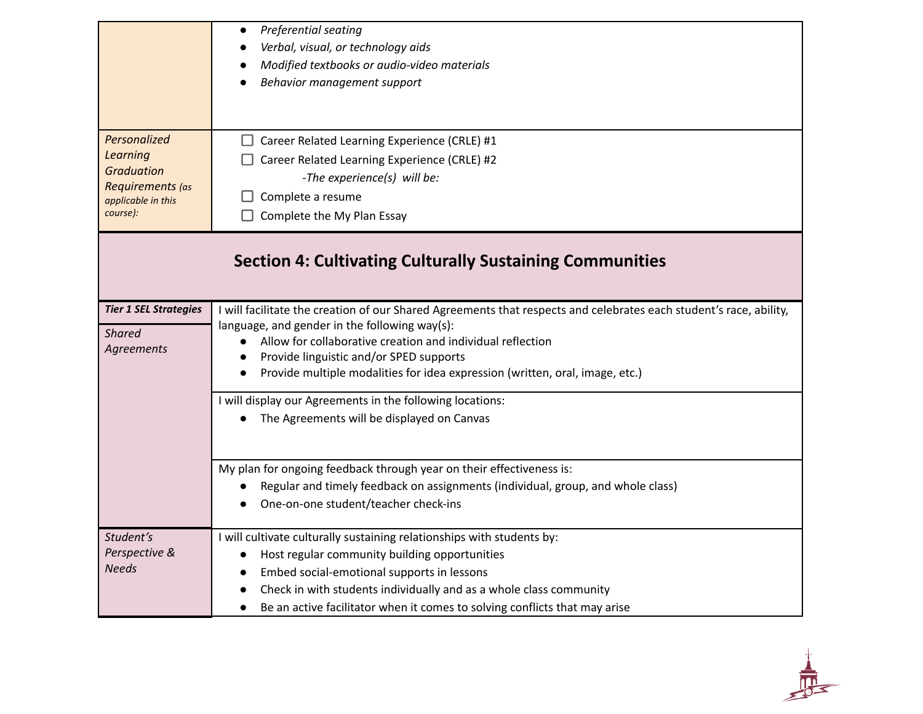|                                                                                                     | Preferential seating<br>$\bullet$<br>Verbal, visual, or technology aids<br>Modified textbooks or audio-video materials<br>Behavior management support                                                                                                                                                                                                                                  |  |
|-----------------------------------------------------------------------------------------------------|----------------------------------------------------------------------------------------------------------------------------------------------------------------------------------------------------------------------------------------------------------------------------------------------------------------------------------------------------------------------------------------|--|
| Personalized<br>Learning<br><b>Graduation</b><br>Requirements (as<br>applicable in this<br>course): | $\Box$ Career Related Learning Experience (CRLE) #1<br>Career Related Learning Experience (CRLE) #2<br>-The experience(s) will be:<br>Complete a resume<br>Complete the My Plan Essay                                                                                                                                                                                                  |  |
| <b>Section 4: Cultivating Culturally Sustaining Communities</b>                                     |                                                                                                                                                                                                                                                                                                                                                                                        |  |
| <b>Tier 1 SEL Strategies</b><br><b>Shared</b><br>Agreements                                         | I will facilitate the creation of our Shared Agreements that respects and celebrates each student's race, ability,<br>language, and gender in the following way(s):<br>Allow for collaborative creation and individual reflection<br>$\bullet$<br>Provide linguistic and/or SPED supports<br>$\bullet$<br>Provide multiple modalities for idea expression (written, oral, image, etc.) |  |
|                                                                                                     | I will display our Agreements in the following locations:<br>The Agreements will be displayed on Canvas                                                                                                                                                                                                                                                                                |  |
|                                                                                                     | My plan for ongoing feedback through year on their effectiveness is:<br>Regular and timely feedback on assignments (individual, group, and whole class)<br>One-on-one student/teacher check-ins                                                                                                                                                                                        |  |
| Student's<br>Perspective &<br><b>Needs</b>                                                          | I will cultivate culturally sustaining relationships with students by:<br>Host regular community building opportunities<br>$\bullet$<br>Embed social-emotional supports in lessons<br>Check in with students individually and as a whole class community<br>Be an active facilitator when it comes to solving conflicts that may arise<br>$\bullet$                                    |  |

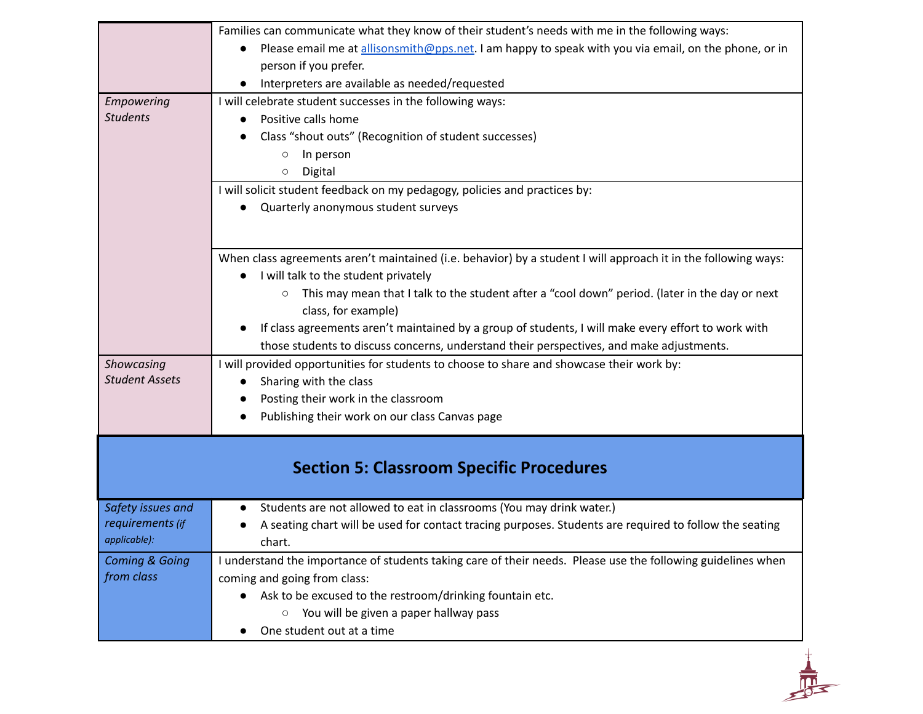|                                                                                                  | Families can communicate what they know of their student's needs with me in the following ways:                   |
|--------------------------------------------------------------------------------------------------|-------------------------------------------------------------------------------------------------------------------|
|                                                                                                  | Please email me at allisonsmith@pps.net. I am happy to speak with you via email, on the phone, or in<br>$\bullet$ |
|                                                                                                  | person if you prefer.                                                                                             |
|                                                                                                  | Interpreters are available as needed/requested                                                                    |
| Empowering                                                                                       | I will celebrate student successes in the following ways:                                                         |
| <b>Students</b>                                                                                  | Positive calls home                                                                                               |
|                                                                                                  | Class "shout outs" (Recognition of student successes)                                                             |
|                                                                                                  | In person<br>$\circ$                                                                                              |
|                                                                                                  | Digital<br>$\circ$                                                                                                |
|                                                                                                  | I will solicit student feedback on my pedagogy, policies and practices by:                                        |
|                                                                                                  | Quarterly anonymous student surveys                                                                               |
|                                                                                                  |                                                                                                                   |
|                                                                                                  |                                                                                                                   |
|                                                                                                  | When class agreements aren't maintained (i.e. behavior) by a student I will approach it in the following ways:    |
|                                                                                                  | I will talk to the student privately                                                                              |
|                                                                                                  | This may mean that I talk to the student after a "cool down" period. (later in the day or next<br>$\circ$         |
|                                                                                                  | class, for example)                                                                                               |
|                                                                                                  | If class agreements aren't maintained by a group of students, I will make every effort to work with               |
|                                                                                                  | those students to discuss concerns, understand their perspectives, and make adjustments.                          |
| Showcasing                                                                                       | I will provided opportunities for students to choose to share and showcase their work by:                         |
| <b>Student Assets</b>                                                                            | Sharing with the class                                                                                            |
|                                                                                                  |                                                                                                                   |
|                                                                                                  | Posting their work in the classroom                                                                               |
|                                                                                                  | Publishing their work on our class Canvas page                                                                    |
|                                                                                                  |                                                                                                                   |
|                                                                                                  |                                                                                                                   |
|                                                                                                  | <b>Section 5: Classroom Specific Procedures</b>                                                                   |
|                                                                                                  |                                                                                                                   |
|                                                                                                  | Students are not allowed to eat in classrooms (You may drink water.)<br>$\bullet$                                 |
|                                                                                                  | A seating chart will be used for contact tracing purposes. Students are required to follow the seating            |
|                                                                                                  | chart.                                                                                                            |
|                                                                                                  | I understand the importance of students taking care of their needs. Please use the following guidelines when      |
|                                                                                                  | coming and going from class:                                                                                      |
|                                                                                                  | Ask to be excused to the restroom/drinking fountain etc.                                                          |
| Safety issues and<br>requirements (if<br>applicable):<br><b>Coming &amp; Going</b><br>from class | $\circ$ You will be given a paper hallway pass<br>One student out at a time                                       |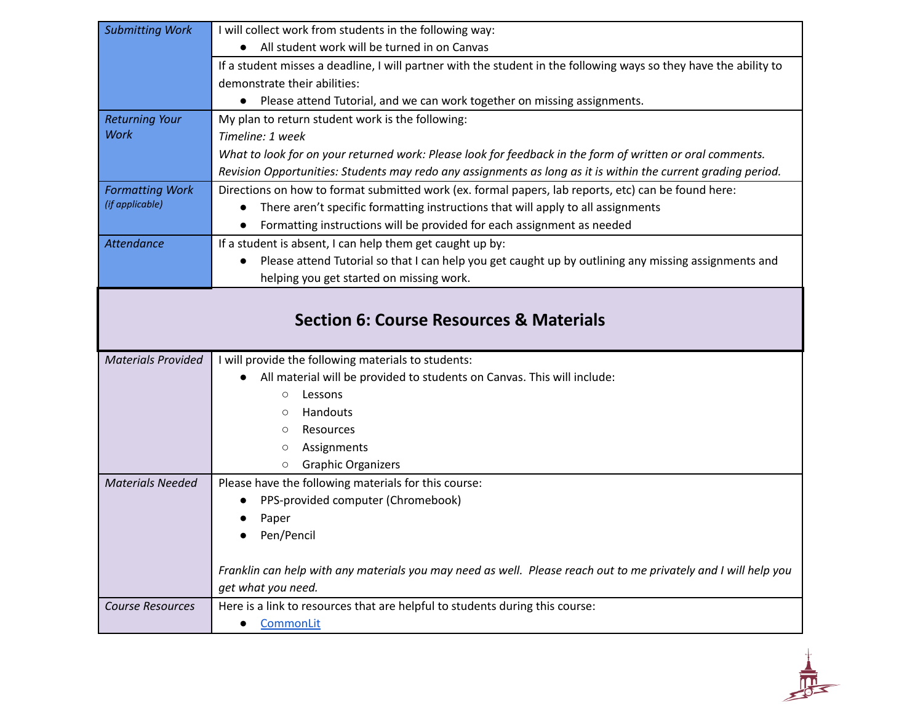| <b>Submitting Work</b>    | I will collect work from students in the following way:                                                                               |
|---------------------------|---------------------------------------------------------------------------------------------------------------------------------------|
|                           | All student work will be turned in on Canvas                                                                                          |
|                           | If a student misses a deadline, I will partner with the student in the following ways so they have the ability to                     |
|                           | demonstrate their abilities:                                                                                                          |
|                           | • Please attend Tutorial, and we can work together on missing assignments.                                                            |
| <b>Returning Your</b>     | My plan to return student work is the following:                                                                                      |
| <b>Work</b>               | Timeline: 1 week                                                                                                                      |
|                           | What to look for on your returned work: Please look for feedback in the form of written or oral comments.                             |
|                           | Revision Opportunities: Students may redo any assignments as long as it is within the current grading period.                         |
| <b>Formatting Work</b>    | Directions on how to format submitted work (ex. formal papers, lab reports, etc) can be found here:                                   |
| (if applicable)           | There aren't specific formatting instructions that will apply to all assignments                                                      |
|                           | Formatting instructions will be provided for each assignment as needed                                                                |
| <b>Attendance</b>         | If a student is absent, I can help them get caught up by:                                                                             |
|                           | Please attend Tutorial so that I can help you get caught up by outlining any missing assignments and<br>$\bullet$                     |
|                           | helping you get started on missing work.                                                                                              |
|                           |                                                                                                                                       |
|                           | <b>Section 6: Course Resources &amp; Materials</b>                                                                                    |
| <b>Materials Provided</b> | I will provide the following materials to students:                                                                                   |
|                           | All material will be provided to students on Canvas. This will include:                                                               |
|                           | Lessons<br>$\circ$                                                                                                                    |
|                           | Handouts<br>$\circ$                                                                                                                   |
|                           | Resources<br>$\circ$                                                                                                                  |
|                           | Assignments<br>$\circ$                                                                                                                |
|                           | <b>Graphic Organizers</b><br>$\circ$                                                                                                  |
| <b>Materials Needed</b>   | Please have the following materials for this course:                                                                                  |
|                           | PPS-provided computer (Chromebook)                                                                                                    |
|                           | Paper                                                                                                                                 |
|                           | Pen/Pencil                                                                                                                            |
|                           |                                                                                                                                       |
|                           | Franklin can help with any materials you may need as well. Please reach out to me privately and I will help you<br>get what you need. |
| <b>Course Resources</b>   | Here is a link to resources that are helpful to students during this course:                                                          |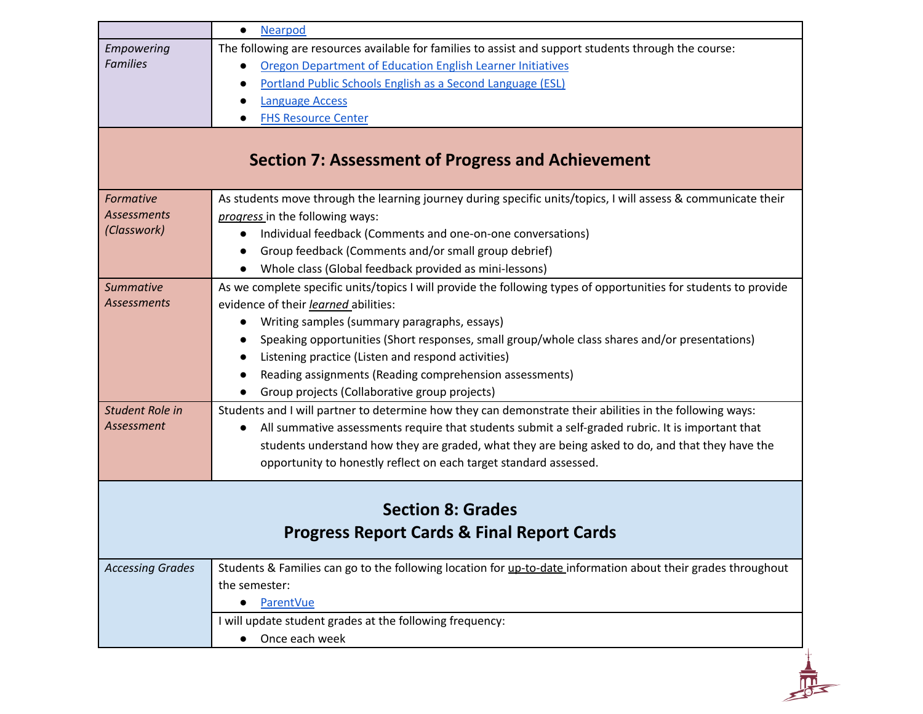|                                                                                   | <b>Nearpod</b><br>$\bullet$                                                                                      |  |  |
|-----------------------------------------------------------------------------------|------------------------------------------------------------------------------------------------------------------|--|--|
| Empowering                                                                        | The following are resources available for families to assist and support students through the course:            |  |  |
| <b>Families</b>                                                                   | Oregon Department of Education English Learner Initiatives                                                       |  |  |
|                                                                                   | Portland Public Schools English as a Second Language (ESL)                                                       |  |  |
|                                                                                   | <b>Language Access</b>                                                                                           |  |  |
|                                                                                   | <b>FHS Resource Center</b>                                                                                       |  |  |
| <b>Section 7: Assessment of Progress and Achievement</b>                          |                                                                                                                  |  |  |
| Formative                                                                         | As students move through the learning journey during specific units/topics, I will assess & communicate their    |  |  |
| Assessments                                                                       | progress in the following ways:                                                                                  |  |  |
| (Classwork)                                                                       | Individual feedback (Comments and one-on-one conversations)<br>$\bullet$                                         |  |  |
|                                                                                   | Group feedback (Comments and/or small group debrief)                                                             |  |  |
|                                                                                   | Whole class (Global feedback provided as mini-lessons)                                                           |  |  |
| <b>Summative</b>                                                                  | As we complete specific units/topics I will provide the following types of opportunities for students to provide |  |  |
| <b>Assessments</b>                                                                | evidence of their learned abilities:                                                                             |  |  |
|                                                                                   | Writing samples (summary paragraphs, essays)                                                                     |  |  |
|                                                                                   | Speaking opportunities (Short responses, small group/whole class shares and/or presentations)                    |  |  |
|                                                                                   | Listening practice (Listen and respond activities)                                                               |  |  |
|                                                                                   | Reading assignments (Reading comprehension assessments)                                                          |  |  |
|                                                                                   | Group projects (Collaborative group projects)                                                                    |  |  |
| Student Role in                                                                   | Students and I will partner to determine how they can demonstrate their abilities in the following ways:         |  |  |
| Assessment                                                                        | All summative assessments require that students submit a self-graded rubric. It is important that<br>$\bullet$   |  |  |
|                                                                                   | students understand how they are graded, what they are being asked to do, and that they have the                 |  |  |
|                                                                                   | opportunity to honestly reflect on each target standard assessed.                                                |  |  |
| <b>Section 8: Grades</b><br><b>Progress Report Cards &amp; Final Report Cards</b> |                                                                                                                  |  |  |
|                                                                                   |                                                                                                                  |  |  |
| <b>Accessing Grades</b>                                                           | Students & Families can go to the following location for up-to-date information about their grades throughout    |  |  |
|                                                                                   | the semester:                                                                                                    |  |  |
|                                                                                   | <b>ParentVue</b><br>$\bullet$                                                                                    |  |  |
|                                                                                   | I will update student grades at the following frequency:                                                         |  |  |
|                                                                                   | Once each week<br>$\bullet$                                                                                      |  |  |
|                                                                                   |                                                                                                                  |  |  |
|                                                                                   |                                                                                                                  |  |  |
|                                                                                   |                                                                                                                  |  |  |